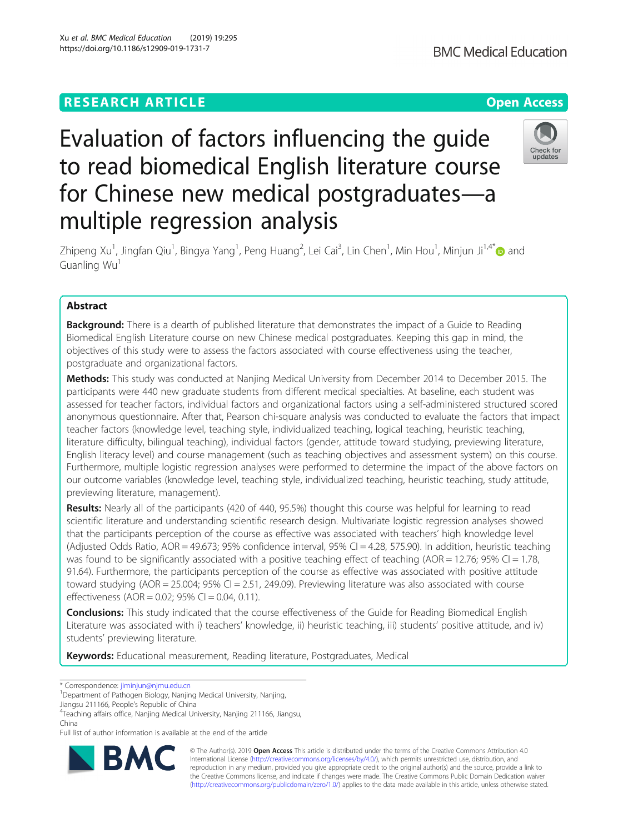# Check for undates

to read biomedical English literature course for Chinese new medical postgraduates—a multiple regression analysis

Evaluation of factors influencing the guide

Zhipeng Xu<sup>1</sup>, Jingfan Qiu<sup>1</sup>, Bingya Yang<sup>1</sup>, Peng Huang<sup>2</sup>, Lei Cai<sup>3</sup>, Lin Chen<sup>1</sup>, Min Hou<sup>1</sup>, Minjun Ji<sup>1,4</sup>[\\*](http://orcid.org/0000-0003-0293-0255)❶ and Guanling Wu<sup>1</sup>

## Abstract

**Background:** There is a dearth of published literature that demonstrates the impact of a Guide to Reading Biomedical English Literature course on new Chinese medical postgraduates. Keeping this gap in mind, the objectives of this study were to assess the factors associated with course effectiveness using the teacher, postgraduate and organizational factors.

Methods: This study was conducted at Nanjing Medical University from December 2014 to December 2015. The participants were 440 new graduate students from different medical specialties. At baseline, each student was assessed for teacher factors, individual factors and organizational factors using a self-administered structured scored anonymous questionnaire. After that, Pearson chi-square analysis was conducted to evaluate the factors that impact teacher factors (knowledge level, teaching style, individualized teaching, logical teaching, heuristic teaching, literature difficulty, bilingual teaching), individual factors (gender, attitude toward studying, previewing literature, English literacy level) and course management (such as teaching objectives and assessment system) on this course. Furthermore, multiple logistic regression analyses were performed to determine the impact of the above factors on our outcome variables (knowledge level, teaching style, individualized teaching, heuristic teaching, study attitude, previewing literature, management).

Results: Nearly all of the participants (420 of 440, 95.5%) thought this course was helpful for learning to read scientific literature and understanding scientific research design. Multivariate logistic regression analyses showed that the participants perception of the course as effective was associated with teachers' high knowledge level (Adjusted Odds Ratio, AOR = 49.673; 95% confidence interval, 95% CI = 4.28, 575.90). In addition, heuristic teaching was found to be significantly associated with a positive teaching effect of teaching (AOR = 12.76; 95% CI = 1.78, 91.64). Furthermore, the participants perception of the course as effective was associated with positive attitude toward studying (AOR = 25.004; 95% CI = 2.51, 249.09). Previewing literature was also associated with course effectiveness (AOR = 0.02; 95% CI = 0.04, 0.11).

**Conclusions:** This study indicated that the course effectiveness of the Guide for Reading Biomedical English Literature was associated with i) teachers' knowledge, ii) heuristic teaching, iii) students' positive attitude, and iv) students' previewing literature.

Keywords: Educational measurement, Reading literature, Postgraduates, Medical

\* Correspondence: [jiminjun@njmu.edu.cn](mailto:jiminjun@njmu.edu.cn) <sup>1</sup>

Jiangsu 211166, People's Republic of China <sup>4</sup>

Full list of author information is available at the end of the article



© The Author(s). 2019 **Open Access** This article is distributed under the terms of the Creative Commons Attribution 4.0 International License [\(http://creativecommons.org/licenses/by/4.0/](http://creativecommons.org/licenses/by/4.0/)), which permits unrestricted use, distribution, and reproduction in any medium, provided you give appropriate credit to the original author(s) and the source, provide a link to the Creative Commons license, and indicate if changes were made. The Creative Commons Public Domain Dedication waiver [\(http://creativecommons.org/publicdomain/zero/1.0/](http://creativecommons.org/publicdomain/zero/1.0/)) applies to the data made available in this article, unless otherwise stated.

<sup>&</sup>lt;sup>1</sup>Department of Pathogen Biology, Nanjing Medical University, Nanjing,

<sup>&</sup>lt;sup>4</sup>Teaching affairs office, Nanjing Medical University, Nanjing 211166, Jiangsu, China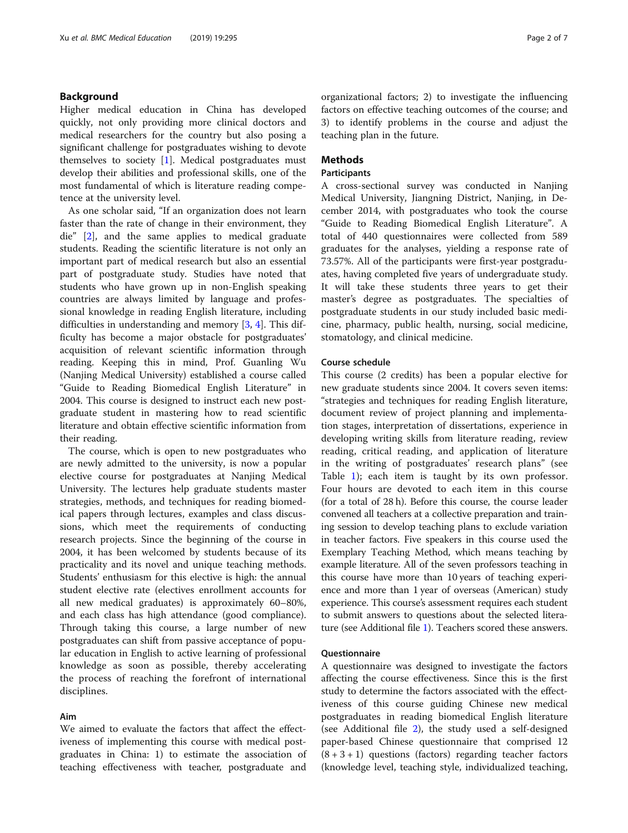### Background

Higher medical education in China has developed quickly, not only providing more clinical doctors and medical researchers for the country but also posing a significant challenge for postgraduates wishing to devote themselves to society [[1\]](#page-6-0). Medical postgraduates must develop their abilities and professional skills, one of the most fundamental of which is literature reading competence at the university level.

As one scholar said, "If an organization does not learn faster than the rate of change in their environment, they die" [\[2](#page-6-0)], and the same applies to medical graduate students. Reading the scientific literature is not only an important part of medical research but also an essential part of postgraduate study. Studies have noted that students who have grown up in non-English speaking countries are always limited by language and professional knowledge in reading English literature, including difficulties in understanding and memory [\[3](#page-6-0), [4](#page-6-0)]. This difficulty has become a major obstacle for postgraduates' acquisition of relevant scientific information through reading. Keeping this in mind, Prof. Guanling Wu (Nanjing Medical University) established a course called "Guide to Reading Biomedical English Literature" in 2004. This course is designed to instruct each new postgraduate student in mastering how to read scientific literature and obtain effective scientific information from their reading.

The course, which is open to new postgraduates who are newly admitted to the university, is now a popular elective course for postgraduates at Nanjing Medical University. The lectures help graduate students master strategies, methods, and techniques for reading biomedical papers through lectures, examples and class discussions, which meet the requirements of conducting research projects. Since the beginning of the course in 2004, it has been welcomed by students because of its practicality and its novel and unique teaching methods. Students' enthusiasm for this elective is high: the annual student elective rate (electives enrollment accounts for all new medical graduates) is approximately 60–80%, and each class has high attendance (good compliance). Through taking this course, a large number of new postgraduates can shift from passive acceptance of popular education in English to active learning of professional knowledge as soon as possible, thereby accelerating the process of reaching the forefront of international disciplines.

### Aim

We aimed to evaluate the factors that affect the effectiveness of implementing this course with medical postgraduates in China: 1) to estimate the association of teaching effectiveness with teacher, postgraduate and organizational factors; 2) to investigate the influencing factors on effective teaching outcomes of the course; and 3) to identify problems in the course and adjust the teaching plan in the future.

### Methods

### **Participants**

A cross-sectional survey was conducted in Nanjing Medical University, Jiangning District, Nanjing, in December 2014, with postgraduates who took the course "Guide to Reading Biomedical English Literature". A total of 440 questionnaires were collected from 589 graduates for the analyses, yielding a response rate of 73.57%. All of the participants were first-year postgraduates, having completed five years of undergraduate study. It will take these students three years to get their master's degree as postgraduates. The specialties of postgraduate students in our study included basic medicine, pharmacy, public health, nursing, social medicine, stomatology, and clinical medicine.

### Course schedule

This course (2 credits) has been a popular elective for new graduate students since 2004. It covers seven items: "strategies and techniques for reading English literature, document review of project planning and implementation stages, interpretation of dissertations, experience in developing writing skills from literature reading, review reading, critical reading, and application of literature in the writing of postgraduates' research plans" (see Table [1](#page-2-0)); each item is taught by its own professor. Four hours are devoted to each item in this course (for a total of 28 h). Before this course, the course leader convened all teachers at a collective preparation and training session to develop teaching plans to exclude variation in teacher factors. Five speakers in this course used the Exemplary Teaching Method, which means teaching by example literature. All of the seven professors teaching in this course have more than 10 years of teaching experience and more than 1 year of overseas (American) study experience. This course's assessment requires each student to submit answers to questions about the selected literature (see Additional file [1\)](#page-5-0). Teachers scored these answers.

### Questionnaire

A questionnaire was designed to investigate the factors affecting the course effectiveness. Since this is the first study to determine the factors associated with the effectiveness of this course guiding Chinese new medical postgraduates in reading biomedical English literature (see Additional file [2](#page-5-0)), the study used a self-designed paper-based Chinese questionnaire that comprised 12  $(8 + 3 + 1)$  questions (factors) regarding teacher factors (knowledge level, teaching style, individualized teaching,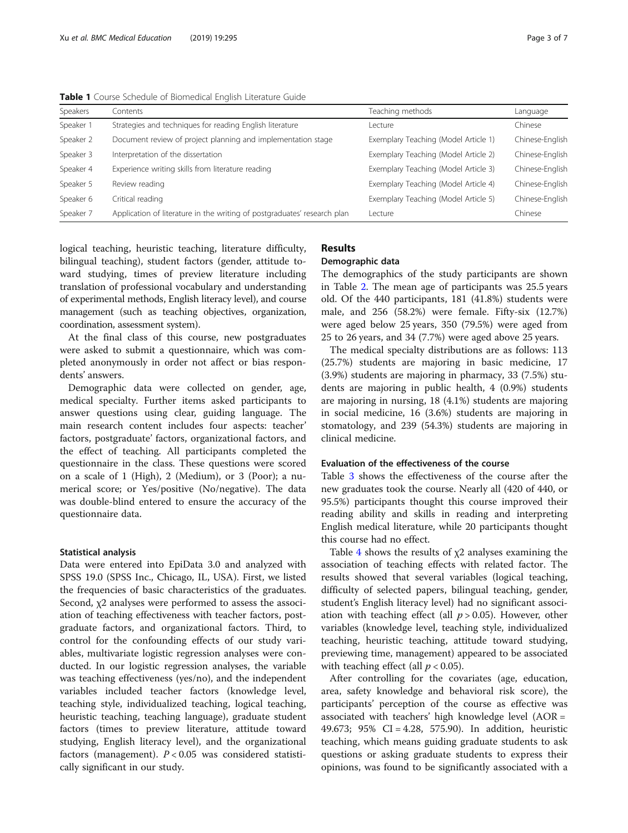| Speakers  | Contents                                                                 | Teaching methods                     | Language        |
|-----------|--------------------------------------------------------------------------|--------------------------------------|-----------------|
| Speaker 1 | Strategies and techniques for reading English literature                 | l ecture.                            | Chinese         |
| Speaker 2 | Document review of project planning and implementation stage             | Exemplary Teaching (Model Article 1) | Chinese-English |
| Speaker 3 | Interpretation of the dissertation                                       | Exemplary Teaching (Model Article 2) | Chinese-English |
| Speaker 4 | Experience writing skills from literature reading                        | Exemplary Teaching (Model Article 3) | Chinese-English |
| Speaker 5 | Review reading                                                           | Exemplary Teaching (Model Article 4) | Chinese-English |
| Speaker 6 | Critical reading                                                         | Exemplary Teaching (Model Article 5) | Chinese-English |
| Speaker 7 | Application of literature in the writing of postgraduates' research plan | Lecture                              | Chinese         |

<span id="page-2-0"></span>Table 1 Course Schedule of Biomedical English Literature Guide

logical teaching, heuristic teaching, literature difficulty, bilingual teaching), student factors (gender, attitude toward studying, times of preview literature including translation of professional vocabulary and understanding of experimental methods, English literacy level), and course management (such as teaching objectives, organization, coordination, assessment system).

At the final class of this course, new postgraduates were asked to submit a questionnaire, which was completed anonymously in order not affect or bias respondents' answers.

Demographic data were collected on gender, age, medical specialty. Further items asked participants to answer questions using clear, guiding language. The main research content includes four aspects: teacher' factors, postgraduate' factors, organizational factors, and the effect of teaching. All participants completed the questionnaire in the class. These questions were scored on a scale of 1 (High), 2 (Medium), or 3 (Poor); a numerical score; or Yes/positive (No/negative). The data was double-blind entered to ensure the accuracy of the questionnaire data.

#### Statistical analysis

Data were entered into EpiData 3.0 and analyzed with SPSS 19.0 (SPSS Inc., Chicago, IL, USA). First, we listed the frequencies of basic characteristics of the graduates. Second, χ2 analyses were performed to assess the association of teaching effectiveness with teacher factors, postgraduate factors, and organizational factors. Third, to control for the confounding effects of our study variables, multivariate logistic regression analyses were conducted. In our logistic regression analyses, the variable was teaching effectiveness (yes/no), and the independent variables included teacher factors (knowledge level, teaching style, individualized teaching, logical teaching, heuristic teaching, teaching language), graduate student factors (times to preview literature, attitude toward studying, English literacy level), and the organizational factors (management).  $P < 0.05$  was considered statistically significant in our study.

## Results

### Demographic data

The demographics of the study participants are shown in Table [2](#page-3-0). The mean age of participants was 25.5 years old. Of the 440 participants, 181 (41.8%) students were male, and 256 (58.2%) were female. Fifty-six (12.7%) were aged below 25 years, 350 (79.5%) were aged from 25 to 26 years, and 34 (7.7%) were aged above 25 years.

The medical specialty distributions are as follows: 113 (25.7%) students are majoring in basic medicine, 17 (3.9%) students are majoring in pharmacy, 33 (7.5%) students are majoring in public health, 4 (0.9%) students are majoring in nursing, 18 (4.1%) students are majoring in social medicine, 16 (3.6%) students are majoring in stomatology, and 239 (54.3%) students are majoring in clinical medicine.

#### Evaluation of the effectiveness of the course

Table [3](#page-3-0) shows the effectiveness of the course after the new graduates took the course. Nearly all (420 of 440, or 95.5%) participants thought this course improved their reading ability and skills in reading and interpreting English medical literature, while 20 participants thought this course had no effect.

Table [4](#page-4-0) shows the results of  $x^2$  analyses examining the association of teaching effects with related factor. The results showed that several variables (logical teaching, difficulty of selected papers, bilingual teaching, gender, student's English literacy level) had no significant association with teaching effect (all  $p > 0.05$ ). However, other variables (knowledge level, teaching style, individualized teaching, heuristic teaching, attitude toward studying, previewing time, management) appeared to be associated with teaching effect (all  $p < 0.05$ ).

After controlling for the covariates (age, education, area, safety knowledge and behavioral risk score), the participants' perception of the course as effective was associated with teachers' high knowledge level (AOR = 49.673; 95% CI = 4.28, 575.90). In addition, heuristic teaching, which means guiding graduate students to ask questions or asking graduate students to express their opinions, was found to be significantly associated with a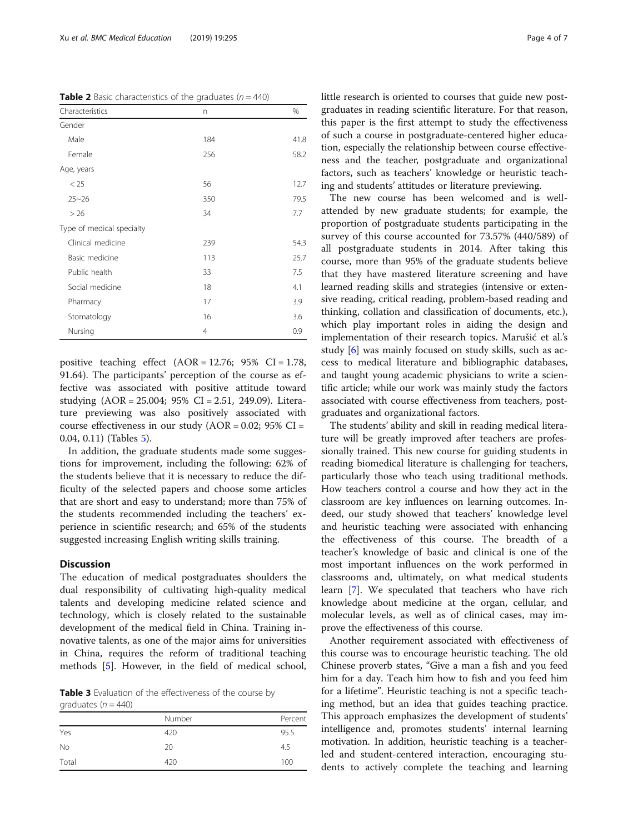<span id="page-3-0"></span>**Table 2** Basic characteristics of the graduates ( $n = 440$ )

| Characteristics           | n              | %    |
|---------------------------|----------------|------|
| Gender                    |                |      |
| Male                      | 184            | 41.8 |
| Female                    | 256            | 58.2 |
| Age, years                |                |      |
| < 25                      | 56             | 12.7 |
| $25 - 26$                 | 350            | 79.5 |
| > 26                      | 34             | 7.7  |
| Type of medical specialty |                |      |
| Clinical medicine         | 239            | 54.3 |
| Basic medicine            | 113            | 25.7 |
| Public health             | 33             | 7.5  |
| Social medicine           | 18             | 4.1  |
| Pharmacy                  | 17             | 3.9  |
| Stomatology               | 16             | 3.6  |
| Nursing                   | $\overline{4}$ | 0.9  |

positive teaching effect  $(AOR = 12.76; 95\% \text{ CI} = 1.78,$ 91.64). The participants' perception of the course as effective was associated with positive attitude toward studying (AOR = 25.004; 95% CI = 2.51, 249.09). Literature previewing was also positively associated with course effectiveness in our study  $(AOR = 0.02; 95\% CI =$ 0.04, 0.11) (Tables [5\)](#page-4-0).

In addition, the graduate students made some suggestions for improvement, including the following: 62% of the students believe that it is necessary to reduce the difficulty of the selected papers and choose some articles that are short and easy to understand; more than 75% of the students recommended including the teachers' experience in scientific research; and 65% of the students suggested increasing English writing skills training.

### **Discussion**

The education of medical postgraduates shoulders the dual responsibility of cultivating high-quality medical talents and developing medicine related science and technology, which is closely related to the sustainable development of the medical field in China. Training innovative talents, as one of the major aims for universities in China, requires the reform of traditional teaching methods [\[5](#page-6-0)]. However, in the field of medical school,

Table 3 Evaluation of the effectiveness of the course by graduates ( $n = 440$ )

| ◡<br>.    |        |         |  |  |
|-----------|--------|---------|--|--|
|           | Number | Percent |  |  |
| Yes       | 420    | 95.5    |  |  |
| <b>No</b> | 20     | 4.5     |  |  |
| Total     | 420    | 100     |  |  |

little research is oriented to courses that guide new postgraduates in reading scientific literature. For that reason, this paper is the first attempt to study the effectiveness of such a course in postgraduate-centered higher education, especially the relationship between course effectiveness and the teacher, postgraduate and organizational factors, such as teachers' knowledge or heuristic teaching and students' attitudes or literature previewing.

The new course has been welcomed and is wellattended by new graduate students; for example, the proportion of postgraduate students participating in the survey of this course accounted for 73.57% (440/589) of all postgraduate students in 2014. After taking this course, more than 95% of the graduate students believe that they have mastered literature screening and have learned reading skills and strategies (intensive or extensive reading, critical reading, problem-based reading and thinking, collation and classification of documents, etc.), which play important roles in aiding the design and implementation of their research topics. Marušić et al.'s study [\[6\]](#page-6-0) was mainly focused on study skills, such as access to medical literature and bibliographic databases, and taught young academic physicians to write a scientific article; while our work was mainly study the factors associated with course effectiveness from teachers, postgraduates and organizational factors.

The students' ability and skill in reading medical literature will be greatly improved after teachers are professionally trained. This new course for guiding students in reading biomedical literature is challenging for teachers, particularly those who teach using traditional methods. How teachers control a course and how they act in the classroom are key influences on learning outcomes. Indeed, our study showed that teachers' knowledge level and heuristic teaching were associated with enhancing the effectiveness of this course. The breadth of a teacher's knowledge of basic and clinical is one of the most important influences on the work performed in classrooms and, ultimately, on what medical students learn [[7](#page-6-0)]. We speculated that teachers who have rich knowledge about medicine at the organ, cellular, and molecular levels, as well as of clinical cases, may improve the effectiveness of this course.

Another requirement associated with effectiveness of this course was to encourage heuristic teaching. The old Chinese proverb states, "Give a man a fish and you feed him for a day. Teach him how to fish and you feed him for a lifetime". Heuristic teaching is not a specific teaching method, but an idea that guides teaching practice. This approach emphasizes the development of students' intelligence and, promotes students' internal learning motivation. In addition, heuristic teaching is a teacherled and student-centered interaction, encouraging students to actively complete the teaching and learning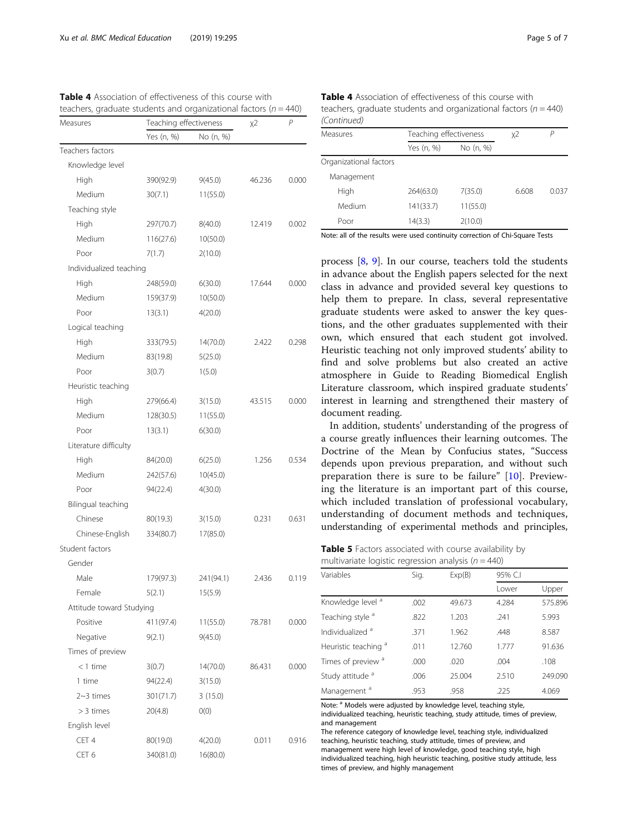<span id="page-4-0"></span>Table 4 Association of effectiveness of this course with

|                          |                        | teachers, graduate students and organizational factors ( $n = 440$ ) |        |       |  |
|--------------------------|------------------------|----------------------------------------------------------------------|--------|-------|--|
| Measures                 | Teaching effectiveness |                                                                      | χ2     | P     |  |
|                          | Yes (n, %)             | No (n, %)                                                            |        |       |  |
| Teachers factors         |                        |                                                                      |        |       |  |
| Knowledge level          |                        |                                                                      |        |       |  |
| High                     | 390(92.9)              | 9(45.0)                                                              | 46.236 | 0.000 |  |
| Medium                   | 30(7.1)                | 11(55.0)                                                             |        |       |  |
| Teaching style           |                        |                                                                      |        |       |  |
| High                     | 297(70.7)              | 8(40.0)                                                              | 12.419 | 0.002 |  |
| Medium                   | 116(27.6)              | 10(50.0)                                                             |        |       |  |
| Poor                     | 7(1.7)                 | 2(10.0)                                                              |        |       |  |
| Individualized teaching  |                        |                                                                      |        |       |  |
| High                     | 248(59.0)              | 6(30.0)                                                              | 17.644 | 0.000 |  |
| Medium                   | 159(37.9)              | 10(50.0)                                                             |        |       |  |
| Poor                     | 13(3.1)                | 4(20.0)                                                              |        |       |  |
| Logical teaching         |                        |                                                                      |        |       |  |
| High                     | 333(79.5)              | 14(70.0)                                                             | 2.422  | 0.298 |  |
| Medium                   | 83(19.8)               | 5(25.0)                                                              |        |       |  |
| Poor                     | 3(0.7)                 | 1(5.0)                                                               |        |       |  |
| Heuristic teaching       |                        |                                                                      |        |       |  |
| High                     | 279(66.4)              | 3(15.0)                                                              | 43.515 | 0.000 |  |
| Medium                   | 128(30.5)              | 11(55.0)                                                             |        |       |  |
| Poor                     | 13(3.1)                | 6(30.0)                                                              |        |       |  |
| Literature difficulty    |                        |                                                                      |        |       |  |
| High                     | 84(20.0)               | 6(25.0)                                                              | 1.256  | 0.534 |  |
| Medium                   | 242(57.6)              | 10(45.0)                                                             |        |       |  |
| Poor                     | 94(22.4)               | 4(30.0)                                                              |        |       |  |
| Bilingual teaching       |                        |                                                                      |        |       |  |
| Chinese                  | 80(19.3)               | 3(15.0)                                                              | 0.231  | 0.631 |  |
| Chinese-English          | 334(80.7)              | 17(85.0)                                                             |        |       |  |
| Student factors          |                        |                                                                      |        |       |  |
| Gender                   |                        |                                                                      |        |       |  |
| Male                     | 179(97.3)              | 241(94.1)                                                            | 2.436  | 0.119 |  |
| Female                   | 5(2.1)                 | 15(5.9)                                                              |        |       |  |
| Attitude toward Studying |                        |                                                                      |        |       |  |
| Positive                 | 411(97.4)              | 11(55.0)                                                             | 78.781 | 0.000 |  |
| Negative                 | 9(2.1)                 | 9(45.0)                                                              |        |       |  |
| Times of preview         |                        |                                                                      |        |       |  |
| $<$ 1 time               | 3(0.7)                 | 14(70.0)                                                             | 86.431 | 0.000 |  |
| 1 time                   | 94(22.4)               | 3(15.0)                                                              |        |       |  |
| $2~3$ times              | 301(71.7)              | 3(15.0)                                                              |        |       |  |
| > 3 times                | 20(4.8)                | O(0)                                                                 |        |       |  |
| English level            |                        |                                                                      |        |       |  |
| CET 4                    | 80(19.0)               | 4(20.0)                                                              | 0.011  | 0.916 |  |
| CET 6                    | 340(81.0)              | 16(80.0)                                                             |        |       |  |

|     | <b>Table 4</b> Association of effectiveness of this course with      |
|-----|----------------------------------------------------------------------|
| 40) | teachers, graduate students and organizational factors ( $n = 440$ ) |
|     | (Continued)                                                          |

| $1$ CUTTULIUCU         |                        |           |       |       |
|------------------------|------------------------|-----------|-------|-------|
| Measures               | Teaching effectiveness |           | χ2    | Р     |
|                        | Yes (n, %)             | No (n, %) |       |       |
| Organizational factors |                        |           |       |       |
| Management             |                        |           |       |       |
| High                   | 264(63.0)              | 7(35.0)   | 6.608 | 0.037 |
| Medium                 | 141(33.7)              | 11(55.0)  |       |       |
| Poor                   | 14(3.3)                | 2(10.0)   |       |       |

Note: all of the results were used continuity correction of Chi-Square Tests

process [\[8](#page-6-0), [9\]](#page-6-0). In our course, teachers told the students in advance about the English papers selected for the next class in advance and provided several key questions to help them to prepare. In class, several representative graduate students were asked to answer the key questions, and the other graduates supplemented with their own, which ensured that each student got involved. Heuristic teaching not only improved students' ability to find and solve problems but also created an active atmosphere in Guide to Reading Biomedical English Literature classroom, which inspired graduate students' interest in learning and strengthened their mastery of document reading.

In addition, students' understanding of the progress of a course greatly influences their learning outcomes. The Doctrine of the Mean by Confucius states, "Success depends upon previous preparation, and without such preparation there is sure to be failure" [\[10](#page-6-0)]. Previewing the literature is an important part of this course, which included translation of professional vocabulary, understanding of document methods and techniques, understanding of experimental methods and principles,

Table 5 Factors associated with course availability by multivariate logistic regression analysis ( $n = 440$ )

| Variables                       | Sig. | Exp(B) | 95% C.I |         |
|---------------------------------|------|--------|---------|---------|
|                                 |      |        | Lower   | Upper   |
| Knowledge level <sup>a</sup>    | .002 | 49.673 | 4.284   | 575.896 |
| Teaching style <sup>a</sup>     | .822 | 1.203  | .241    | 5.993   |
| Individualized <sup>a</sup>     | .371 | 1.962  | .448    | 8.587   |
| Heuristic teaching <sup>a</sup> | .011 | 12.760 | 1.777   | 91.636  |
| Times of preview <sup>a</sup>   | .000 | .020   | .004    | .108    |
| Study attitude <sup>a</sup>     | .006 | 25.004 | 2.510   | 249.090 |
| Management <sup>a</sup>         | .953 | .958   | .225    | 4.069   |
|                                 |      |        |         |         |

Note: <sup>a</sup> Models were adjusted by knowledge level, teaching style, individualized teaching, heuristic teaching, study attitude, times of preview, and management

The reference category of knowledge level, teaching style, individualized teaching, heuristic teaching, study attitude, times of preview, and management were high level of knowledge, good teaching style, high individualized teaching, high heuristic teaching, positive study attitude, less times of preview, and highly management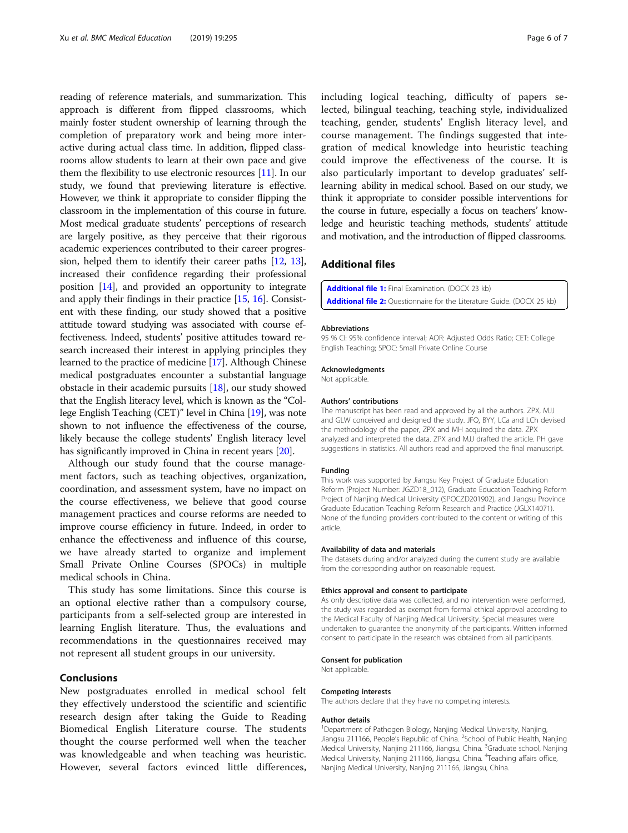<span id="page-5-0"></span>reading of reference materials, and summarization. This approach is different from flipped classrooms, which mainly foster student ownership of learning through the completion of preparatory work and being more interactive during actual class time. In addition, flipped classrooms allow students to learn at their own pace and give them the flexibility to use electronic resources [[11](#page-6-0)]. In our study, we found that previewing literature is effective. However, we think it appropriate to consider flipping the classroom in the implementation of this course in future. Most medical graduate students' perceptions of research are largely positive, as they perceive that their rigorous academic experiences contributed to their career progression, helped them to identify their career paths [\[12,](#page-6-0) [13](#page-6-0)], increased their confidence regarding their professional position [[14](#page-6-0)], and provided an opportunity to integrate and apply their findings in their practice  $[15, 16]$  $[15, 16]$  $[15, 16]$  $[15, 16]$ . Consistent with these finding, our study showed that a positive attitude toward studying was associated with course effectiveness. Indeed, students' positive attitudes toward research increased their interest in applying principles they learned to the practice of medicine [\[17\]](#page-6-0). Although Chinese medical postgraduates encounter a substantial language obstacle in their academic pursuits [[18\]](#page-6-0), our study showed that the English literacy level, which is known as the "College English Teaching (CET)" level in China [[19](#page-6-0)], was note shown to not influence the effectiveness of the course, likely because the college students' English literacy level has significantly improved in China in recent years [[20](#page-6-0)].

Although our study found that the course management factors, such as teaching objectives, organization, coordination, and assessment system, have no impact on the course effectiveness, we believe that good course management practices and course reforms are needed to improve course efficiency in future. Indeed, in order to enhance the effectiveness and influence of this course, we have already started to organize and implement Small Private Online Courses (SPOCs) in multiple medical schools in China.

This study has some limitations. Since this course is an optional elective rather than a compulsory course, participants from a self-selected group are interested in learning English literature. Thus, the evaluations and recommendations in the questionnaires received may not represent all student groups in our university.

### Conclusions

New postgraduates enrolled in medical school felt they effectively understood the scientific and scientific research design after taking the Guide to Reading Biomedical English Literature course. The students thought the course performed well when the teacher was knowledgeable and when teaching was heuristic. However, several factors evinced little differences,

including logical teaching, difficulty of papers selected, bilingual teaching, teaching style, individualized teaching, gender, students' English literacy level, and course management. The findings suggested that integration of medical knowledge into heuristic teaching could improve the effectiveness of the course. It is also particularly important to develop graduates' selflearning ability in medical school. Based on our study, we think it appropriate to consider possible interventions for the course in future, especially a focus on teachers' knowledge and heuristic teaching methods, students' attitude and motivation, and the introduction of flipped classrooms.

### Additional files

[Additional file 1:](https://doi.org/10.1186/s12909-019-1731-7) Final Examination. (DOCX 23 kb) [Additional file 2:](https://doi.org/10.1186/s12909-019-1731-7) Questionnaire for the Literature Guide. (DOCX 25 kb)

#### Abbreviations

95 % CI: 95% confidence interval; AOR: Adjusted Odds Ratio; CET: College English Teaching; SPOC: Small Private Online Course

#### Acknowledgments

Not applicable.

#### Authors' contributions

The manuscript has been read and approved by all the authors. ZPX, MJJ and GLW conceived and designed the study. JFQ, BYY, LCa and LCh devised the methodology of the paper, ZPX and MH acquired the data. ZPX analyzed and interpreted the data. ZPX and MJJ drafted the article. PH gave suggestions in statistics. All authors read and approved the final manuscript.

#### Funding

This work was supported by Jiangsu Key Project of Graduate Education Reform (Project Number: JGZD18\_012), Graduate Education Teaching Reform Project of Nanjing Medical University (SPOCZD201902), and Jiangsu Province Graduate Education Teaching Reform Research and Practice (JGLX14071). None of the funding providers contributed to the content or writing of this article.

#### Availability of data and materials

The datasets during and/or analyzed during the current study are available from the corresponding author on reasonable request.

#### Ethics approval and consent to participate

As only descriptive data was collected, and no intervention were performed, the study was regarded as exempt from formal ethical approval according to the Medical Faculty of Nanjing Medical University. Special measures were undertaken to guarantee the anonymity of the participants. Written informed consent to participate in the research was obtained from all participants.

#### Consent for publication

Not applicable.

#### Competing interests

The authors declare that they have no competing interests.

#### Author details

<sup>1</sup>Department of Pathogen Biology, Nanjing Medical University, Nanjing, Jiangsu 211166, People's Republic of China. <sup>2</sup>School of Public Health, Nanjing Medical University, Nanjing 211166, Jiangsu, China. <sup>3</sup>Graduate school, Nanjing Medical University, Nanjing 211166, Jiangsu, China. <sup>4</sup>Teaching affairs office Nanjing Medical University, Nanjing 211166, Jiangsu, China.